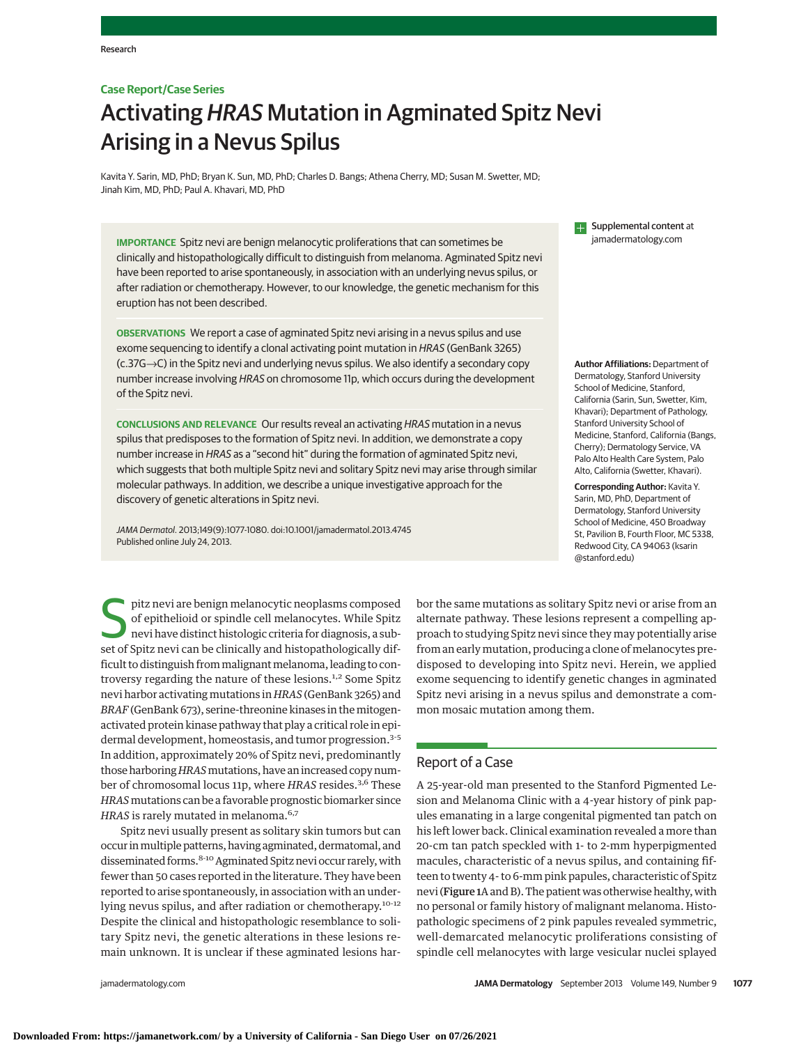## **Case Report/Case Series**

# Activating HRAS Mutation in Agminated Spitz Nevi Arising in a Nevus Spilus

Kavita Y. Sarin, MD, PhD; Bryan K. Sun, MD, PhD; Charles D. Bangs; Athena Cherry, MD; Susan M. Swetter, MD; Jinah Kim, MD, PhD; Paul A. Khavari, MD, PhD

**IMPORTANCE** Spitz nevi are benign melanocytic proliferations that can sometimes be clinically and histopathologically difficult to distinguish from melanoma. Agminated Spitz nevi have been reported to arise spontaneously, in association with an underlying nevus spilus, or after radiation or chemotherapy. However, to our knowledge, the genetic mechanism for this eruption has not been described.

**OBSERVATIONS** We report a case of agminated Spitz nevi arising in a nevus spilus and use exome sequencing to identify a clonal activating point mutation in HRAS (GenBank 3265) (c.37G→C) in the Spitz nevi and underlying nevus spilus. We also identify a secondary copy number increase involving HRAS on chromosome 11p, which occurs during the development of the Spitz nevi.

**CONCLUSIONS AND RELEVANCE** Our results reveal an activating HRAS mutation in a nevus spilus that predisposes to the formation of Spitz nevi. In addition, we demonstrate a copy number increase in HRAS as a "second hit" during the formation of agminated Spitz nevi, which suggests that both multiple Spitz nevi and solitary Spitz nevi may arise through similar molecular pathways. In addition, we describe a unique investigative approach for the discovery of genetic alterations in Spitz nevi.

JAMA Dermatol. 2013;149(9):1077-1080. doi:10.1001/jamadermatol.2013.4745 Published online July 24, 2013.

pitz nevi are benign melanocytic neoplasms composed<br>of epithelioid or spindle cell melanocytes. While Spitz<br>nevi have distinct histologic criteria for diagnosis, a sub-<br>set of Spitz povi can be clinically and bistopathelog of epithelioid or spindle cell melanocytes. While Spitz nevi have distinct histologic criteria for diagnosis, a subset of Spitz nevi can be clinically and histopathologically difficult to distinguish from malignant melanoma, leading to controversy regarding the nature of these lesions.<sup>1,2</sup> Some Spitz nevi harbor activating mutations in *HRAS* (GenBank 3265) and *BRAF*(GenBank 673), serine-threonine kinases in themitogenactivated protein kinase pathway that play a critical role in epidermal development, homeostasis, and tumor progression.<sup>3-5</sup> In addition, approximately 20% of Spitz nevi, predominantly those harboring*HRAS*mutations, have an increased copy number of chromosomal locus 11p, where *HRAS* resides.<sup>3,6</sup> These *HRAS*mutations can be a favorable prognostic biomarker since *HRAS* is rarely mutated in melanoma.<sup>6,7</sup>

Spitz nevi usually present as solitary skin tumors but can occur inmultiple patterns, having agminated, dermatomal, and disseminated forms.<sup>8-10</sup> Agminated Spitz nevi occur rarely, with fewer than 50 cases reported in the literature. They have been reported to arise spontaneously, in association with an underlying nevus spilus, and after radiation or chemotherapy.<sup>10-12</sup> Despite the clinical and histopathologic resemblance to solitary Spitz nevi, the genetic alterations in these lesions remain unknown. It is unclear if these agminated lesions har**ED** Supplemental content at jamadermatology.com

**Author Affiliations:** Department of Dermatology, Stanford University School of Medicine, Stanford, California (Sarin, Sun, Swetter, Kim, Khavari); Department of Pathology, Stanford University School of Medicine, Stanford, California (Bangs, Cherry); Dermatology Service, VA Palo Alto Health Care System, Palo Alto, California (Swetter, Khavari).

**Corresponding Author:** Kavita Y. Sarin, MD, PhD, Department of Dermatology, Stanford University School of Medicine, 450 Broadway St, Pavilion B, Fourth Floor, MC 5338, Redwood City, CA 94063 (ksarin @stanford.edu)

bor the same mutations as solitary Spitz nevi or arise from an alternate pathway. These lesions represent a compelling approach to studying Spitz nevi since they may potentially arise from an early mutation, producing a clone of melanocytes predisposed to developing into Spitz nevi. Herein, we applied exome sequencing to identify genetic changes in agminated Spitz nevi arising in a nevus spilus and demonstrate a common mosaic mutation among them.

# Report of a Case

A 25-year-old man presented to the Stanford Pigmented Lesion and Melanoma Clinic with a 4-year history of pink papules emanating in a large congenital pigmented tan patch on his left lower back. Clinical examination revealed a more than 20-cm tan patch speckled with 1- to 2-mm hyperpigmented macules, characteristic of a nevus spilus, and containing fifteen to twenty 4- to 6-mm pink papules, characteristic of Spitz nevi (Figure 1A and B). The patient was otherwise healthy, with no personal or family history of malignant melanoma. Histopathologic specimens of 2 pink papules revealed symmetric, well-demarcated melanocytic proliferations consisting of spindle cell melanocytes with large vesicular nuclei splayed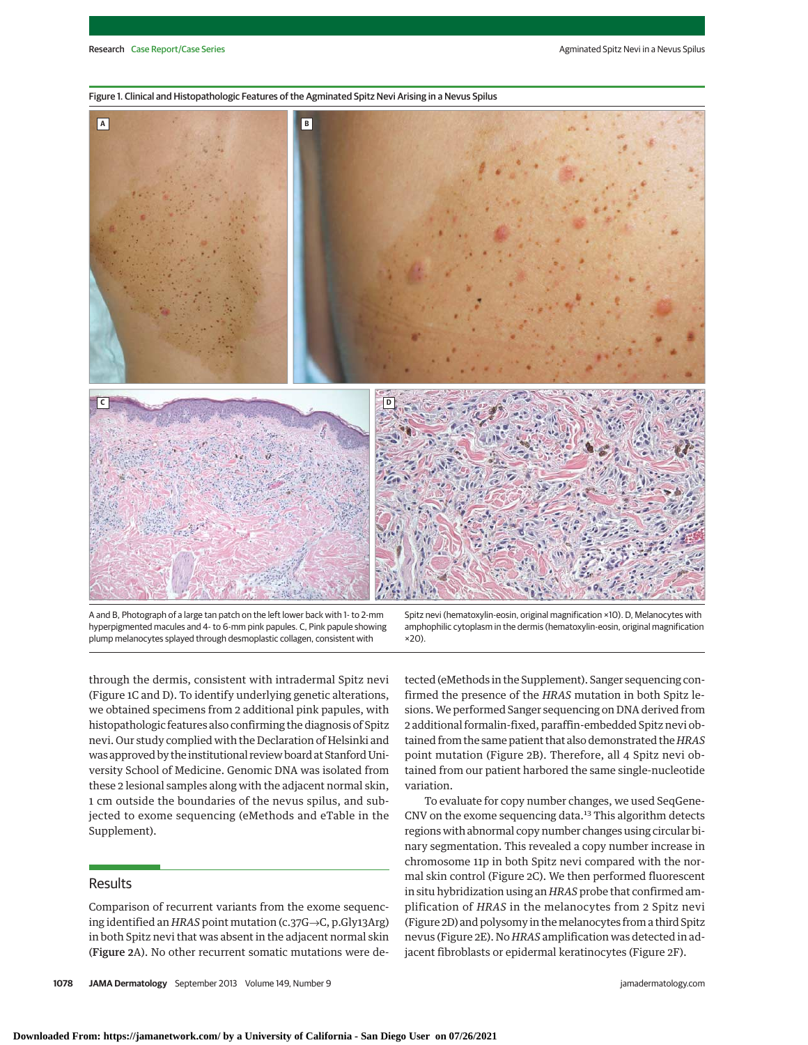#### Figure 1. Clinical and Histopathologic Features of the Agminated Spitz Nevi Arising in a Nevus Spilus



A and B, Photograph of a large tan patch on the left lower back with 1- to 2-mm hyperpigmented macules and 4- to 6-mm pink papules. C, Pink papule showing plump melanocytes splayed through desmoplastic collagen, consistent with

through the dermis, consistent with intradermal Spitz nevi (Figure 1C and D). To identify underlying genetic alterations, we obtained specimens from 2 additional pink papules, with histopathologic features also confirming the diagnosis of Spitz nevi. Our study complied with the Declaration of Helsinki and was approved by the institutional review board at Stanford University School of Medicine. Genomic DNA was isolated from these 2 lesional samples along with the adjacent normal skin, 1 cm outside the boundaries of the nevus spilus, and subvariation.

## **Results**

Supplement).

Comparison of recurrent variants from the exome sequencing identified an *HRAS* point mutation (c.37G→C, p.Gly13Arg) in both Spitz nevi that was absent in the adjacent normal skin (Figure 2A). No other recurrent somatic mutations were de-

jected to exome sequencing (eMethods and eTable in the

Spitz nevi (hematoxylin-eosin, original magnification ×10). D, Melanocytes with amphophilic cytoplasm in the dermis (hematoxylin-eosin, original magnification ×20).

tected (eMethods in the Supplement). Sanger sequencing confirmed the presence of the *HRAS* mutation in both Spitz lesions. We performed Sanger sequencing on DNA derived from 2 additional formalin-fixed, paraffin-embedded Spitz nevi obtained from the same patient that also demonstrated the*HRAS* point mutation (Figure 2B). Therefore, all 4 Spitz nevi obtained from our patient harbored the same single-nucleotide

To evaluate for copy number changes, we used SeqGene-CNV on the exome sequencing data.<sup>13</sup> This algorithm detects regions with abnormal copy number changes using circular binary segmentation. This revealed a copy number increase in chromosome 11p in both Spitz nevi compared with the normal skin control (Figure 2C). We then performed fluorescent in situ hybridization using an *HRAS* probe that confirmed amplification of *HRAS* in the melanocytes from 2 Spitz nevi (Figure 2D) and polysomy in themelanocytes from a third Spitz nevus (Figure 2E). No *HRAS* amplification was detected in adjacent fibroblasts or epidermal keratinocytes (Figure 2F).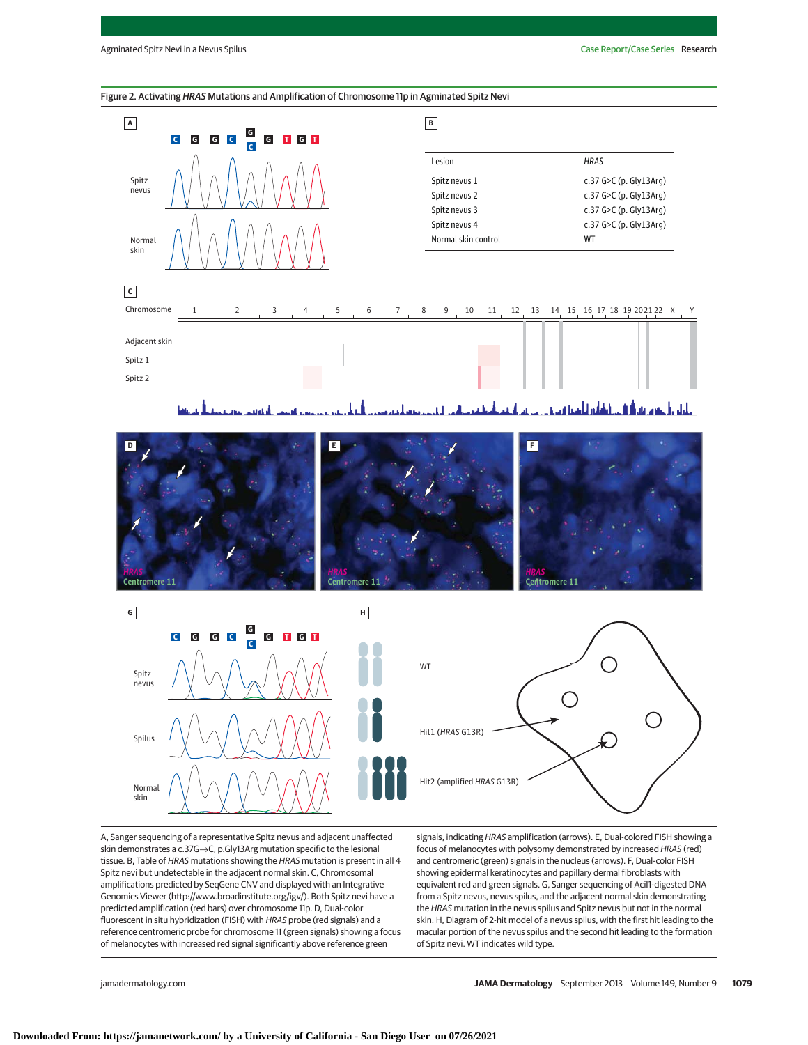## Figure 2. Activating HRAS Mutations and Amplification of Chromosome 11p in Agminated Spitz Nevi



اللغانس انأسما فيبري بابان را جوم بھی ای





A, Sanger sequencing of a representative Spitz nevus and adjacent unaffected skin demonstrates a c.37G→C, p.Gly13Arg mutation specific to the lesional tissue. B, Table of HRAS mutations showing the HRAS mutation is present in all 4 Spitz nevi but undetectable in the adjacent normal skin. C, Chromosomal amplifications predicted by SeqGene CNV and displayed with an Integrative Genomics Viewer (http://www.broadinstitute.org/igv/). Both Spitz nevi have a predicted amplification (red bars) over chromosome 11p. D, Dual-color fluorescent in situ hybridization (FISH) with HRAS probe (red signals) and a reference centromeric probe for chromosome 11 (green signals) showing a focus of melanocytes with increased red signal significantly above reference green

signals, indicating HRAS amplification (arrows). E, Dual-colored FISH showing a focus of melanocytes with polysomy demonstrated by increased HRAS (red) and centromeric (green) signals in the nucleus (arrows). F, Dual-color FISH showing epidermal keratinocytes and papillary dermal fibroblasts with equivalent red and green signals. G, Sanger sequencing of AciI1-digested DNA from a Spitz nevus, nevus spilus, and the adjacent normal skin demonstrating the HRAS mutation in the nevus spilus and Spitz nevus but not in the normal skin. H, Diagram of 2-hit model of a nevus spilus, with the first hit leading to the macular portion of the nevus spilus and the second hit leading to the formation of Spitz nevi. WT indicates wild type.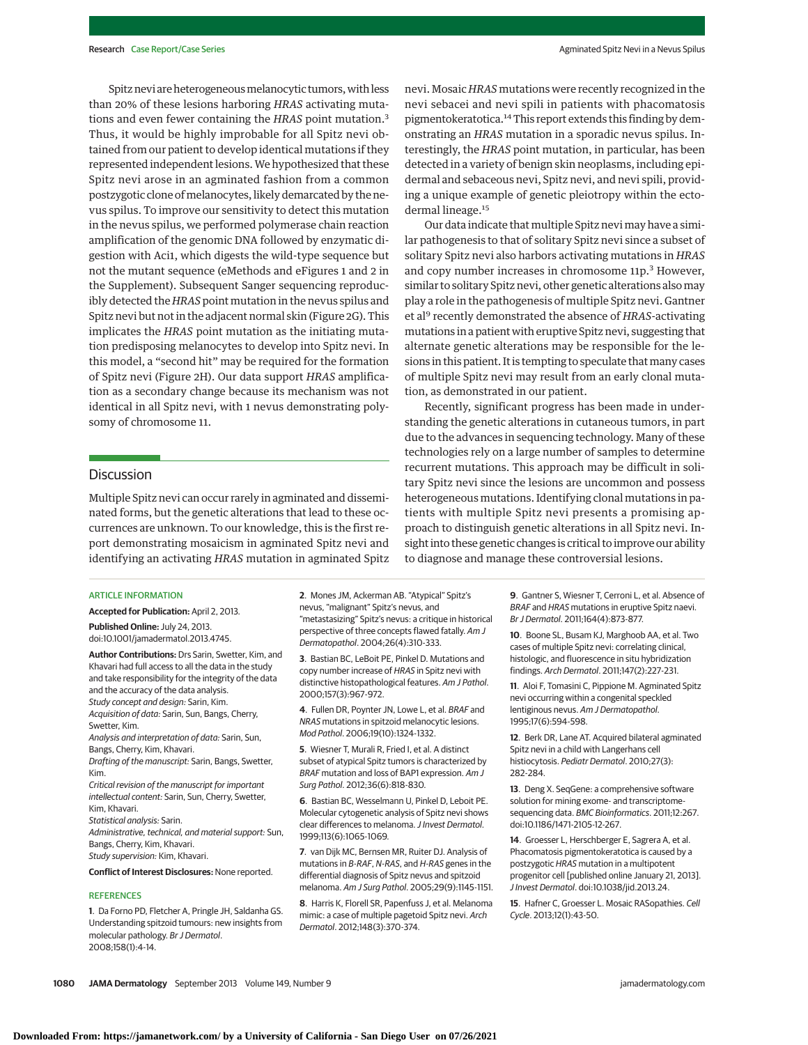Spitz nevi are heterogeneous melanocytic tumors, with less than 20% of these lesions harboring *HRAS* activating mutations and even fewer containing the *HRAS* point mutation.<sup>3</sup> Thus, it would be highly improbable for all Spitz nevi obtained from our patient to develop identical mutations if they represented independent lesions.We hypothesized that these Spitz nevi arose in an agminated fashion from a common postzygotic clone of melanocytes, likely demarcated by the nevus spilus. To improve our sensitivity to detect this mutation in the nevus spilus, we performed polymerase chain reaction amplification of the genomic DNA followed by enzymatic digestion with Aci1, which digests the wild-type sequence but not the mutant sequence (eMethods and eFigures 1 and 2 in the Supplement). Subsequent Sanger sequencing reproducibly detected the *HRAS* point mutation in the nevus spilus and Spitz nevi but not in the adjacent normal skin (Figure 2G). This implicates the *HRAS* point mutation as the initiating mutation predisposing melanocytes to develop into Spitz nevi. In this model, a "second hit" may be required for the formation of Spitz nevi (Figure 2H). Our data support *HRAS* amplification as a secondary change because its mechanism was not identical in all Spitz nevi, with 1 nevus demonstrating polysomy of chromosome 11.

## **Discussion**

Multiple Spitz nevi can occur rarely in agminated and disseminated forms, but the genetic alterations that lead to these occurrences are unknown. To our knowledge, this is the first report demonstrating mosaicism in agminated Spitz nevi and identifying an activating *HRAS* mutation in agminated Spitz

# nevi. Mosaic *HRAS* mutations were recently recognized in the nevi sebacei and nevi spili in patients with phacomatosis pigmentokeratotica.14This report extends this finding by demonstrating an *HRAS* mutation in a sporadic nevus spilus. Interestingly, the *HRAS* point mutation, in particular, has been detected in a variety of benign skin neoplasms, including epidermal and sebaceous nevi, Spitz nevi, and nevi spili, providing a unique example of genetic pleiotropy within the ectodermal lineage.<sup>15</sup>

Our data indicate that multiple Spitz nevi may have a similar pathogenesis to that of solitary Spitz nevi since a subset of solitary Spitz nevi also harbors activating mutations in *HRAS* and copy number increases in chromosome 11p.<sup>3</sup> However, similar to solitary Spitz nevi, other genetic alterations alsomay play a role in the pathogenesis of multiple Spitz nevi. Gantner et al<sup>9</sup> recently demonstrated the absence of *HRAS-*activating mutations in a patient with eruptive Spitz nevi, suggesting that alternate genetic alterations may be responsible for the lesions in this patient. It is tempting to speculate that many cases of multiple Spitz nevi may result from an early clonal mutation, as demonstrated in our patient.

Recently, significant progress has been made in understanding the genetic alterations in cutaneous tumors, in part due to the advances in sequencing technology. Many of these technologies rely on a large number of samples to determine recurrent mutations. This approach may be difficult in solitary Spitz nevi since the lesions are uncommon and possess heterogeneous mutations. Identifying clonal mutations in patients with multiple Spitz nevi presents a promising approach to distinguish genetic alterations in all Spitz nevi. Insight into these genetic changes is critical to improve our ability to diagnose and manage these controversial lesions.

#### ARTICLE INFORMATION

**Accepted for Publication:** April 2, 2013.

**Published Online:** July 24, 2013. doi:10.1001/jamadermatol.2013.4745.

**Author Contributions:** Drs Sarin, Swetter, Kim, and Khavari had full access to all the data in the study and take responsibility for the integrity of the data and the accuracy of the data analysis. Study concept and design: Sarin, Kim. Acquisition of data: Sarin, Sun, Bangs, Cherry, Swetter, Kim.

Analysis and interpretation of data: Sarin, Sun, Bangs, Cherry, Kim, Khavari.

Drafting of the manuscript: Sarin, Bangs, Swetter, Kim.

Critical revision of the manuscript for important intellectual content: Sarin, Sun, Cherry, Swetter, Kim, Khavari.

Statistical analysis: Sarin.

Administrative, technical, and material support: Sun, Bangs, Cherry, Kim, Khavari. Study supervision: Kim, Khavari.

## **Conflict of Interest Disclosures:** None reported.

### **REFERENCES**

**1**. Da Forno PD, Fletcher A, Pringle JH, Saldanha GS. Understanding spitzoid tumours: new insights from molecular pathology. Br J Dermatol. 2008;158(1):4-14.

**2**. Mones JM, Ackerman AB. "Atypical" Spitz's nevus, "malignant" Spitz's nevus, and "metastasizing" Spitz's nevus: a critique in historical perspective of three concepts flawed fatally. Am J Dermatopathol. 2004;26(4):310-333.

**3**. Bastian BC, LeBoit PE, Pinkel D. Mutations and copy number increase of HRAS in Spitz nevi with distinctive histopathological features. Am J Pathol. 2000;157(3):967-972.

**4**. Fullen DR, Poynter JN, Lowe L, et al. BRAF and NRAS mutations in spitzoid melanocytic lesions. Mod Pathol. 2006;19(10):1324-1332.

**5**. Wiesner T, Murali R, Fried I, et al. A distinct subset of atypical Spitz tumors is characterized by BRAF mutation and loss of BAP1 expression. Am J Surg Pathol. 2012;36(6):818-830.

**6**. Bastian BC, Wesselmann U, Pinkel D, Leboit PE. Molecular cytogenetic analysis of Spitz nevi shows clear differences to melanoma. J Invest Dermatol. 1999;113(6):1065-1069.

**7**. van Dijk MC, Bernsen MR, Ruiter DJ. Analysis of mutations in B-RAF, N-RAS, and H-RAS genes in the differential diagnosis of Spitz nevus and spitzoid melanoma. Am J Surg Pathol. 2005;29(9):1145-1151.

**8**. Harris K, Florell SR, Papenfuss J, et al. Melanoma mimic: a case of multiple pagetoid Spitz nevi. Arch Dermatol. 2012;148(3):370-374.

**9**. Gantner S, Wiesner T, Cerroni L, et al. Absence of BRAF and HRAS mutations in eruptive Spitz naevi. Br J Dermatol. 2011;164(4):873-877.

**10**. Boone SL, Busam KJ, Marghoob AA, et al. Two cases of multiple Spitz nevi: correlating clinical, histologic, and fluorescence in situ hybridization findings. Arch Dermatol. 2011;147(2):227-231.

**11**. Aloi F, Tomasini C, Pippione M. Agminated Spitz nevi occurring within a congenital speckled lentiginous nevus. Am J Dermatopathol. 1995;17(6):594-598.

**12**. Berk DR, Lane AT. Acquired bilateral agminated Spitz nevi in a child with Langerhans cell histiocytosis. Pediatr Dermatol. 2010;27(3): 282-284.

**13**. Deng X. SeqGene: a comprehensive software solution for mining exome- and transcriptomesequencing data. BMC Bioinformatics. 2011;12:267. doi:10.1186/1471-2105-12-267.

**14**. Groesser L, Herschberger E, Sagrera A, et al. Phacomatosis pigmentokeratotica is caused by a postzygotic HRAS mutation in a multipotent progenitor cell [published online January 21, 2013]. J Invest Dermatol. doi:10.1038/jid.2013.24.

**15**. Hafner C, Groesser L. Mosaic RASopathies. Cell Cycle. 2013;12(1):43-50.

**1080 JAMA Dermatology** September 2013 Volume 149, Number 9 **jamadermatology.com** jamadermatology.com